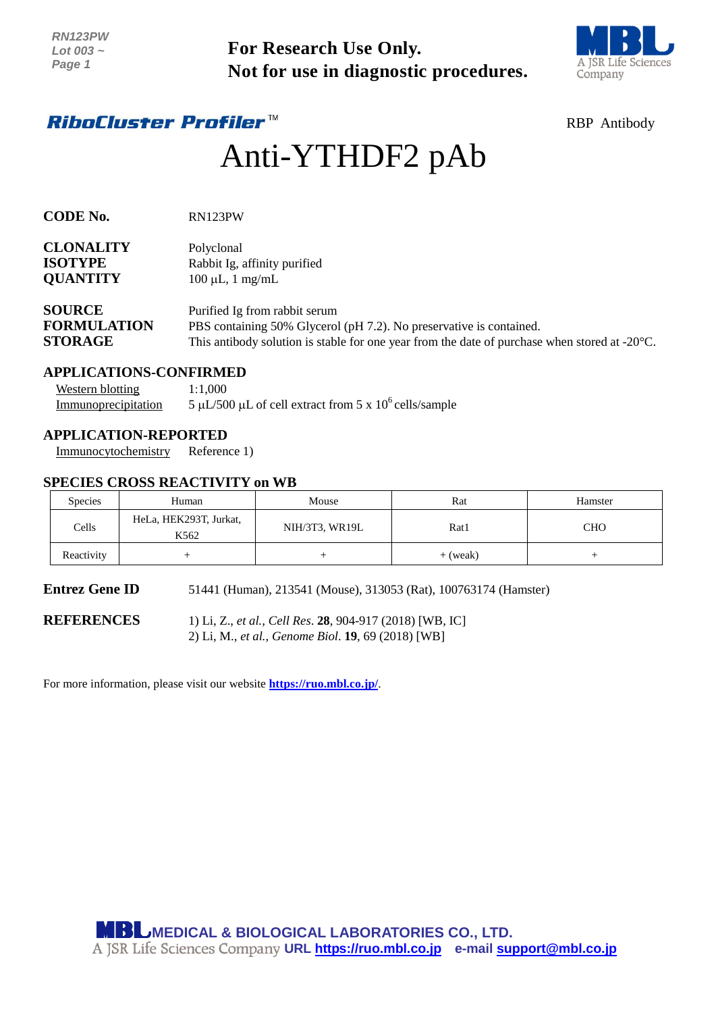

# *RiboCluster Profiler™*

# Anti-YTHDF2 pAb

| CODE No.          | RN123PW    |  |  |
|-------------------|------------|--|--|
| <b>CLONALITY</b>  | Polyclonal |  |  |
| <b>TO AIRTINE</b> | -          |  |  |

| <b>ISOTYPE</b>  | Rabbit Ig, affinity purified |
|-----------------|------------------------------|
| <b>QUANTITY</b> | $100 \mu L$ , 1 mg/mL        |

| <b>SOURCE</b>      | Purified Ig from rabbit serum                                                                           |
|--------------------|---------------------------------------------------------------------------------------------------------|
| <b>FORMULATION</b> | PBS containing 50% Glycerol (pH 7.2). No preservative is contained.                                     |
| <b>STORAGE</b>     | This antibody solution is stable for one year from the date of purchase when stored at $-20^{\circ}$ C. |

# **APPLICATIONS-CONFIRMED**

| Western blotting    | 1:1.000                                                  |
|---------------------|----------------------------------------------------------|
| Immunoprecipitation | 5 µL/500 µL of cell extract from 5 x $10^6$ cells/sample |

# **APPLICATION-REPORTED**

### **SPECIES CROSS REACTIVITY on WB**

| INIV IZJE VV<br>Lot 003~<br>Page 1                                              |                                | For Research Use Only.<br>Not for use in diagnostic procedures.                                                                                                                                                 |            |                     |
|---------------------------------------------------------------------------------|--------------------------------|-----------------------------------------------------------------------------------------------------------------------------------------------------------------------------------------------------------------|------------|---------------------|
| <i><b>RiboCluster Profiler™</b></i>                                             |                                |                                                                                                                                                                                                                 |            | <b>RBP</b> Antibody |
|                                                                                 |                                | Anti-YTHDF2 pAb                                                                                                                                                                                                 |            |                     |
| <b>CODE No.</b>                                                                 | RN123PW                        |                                                                                                                                                                                                                 |            |                     |
| CLONALITY<br>ISOTYPE<br><b>QUANTITY</b>                                         | Polyclonal                     | Rabbit Ig, affinity purified<br>$100 \mu L$ , 1 mg/mL                                                                                                                                                           |            |                     |
| <b>SOURCE</b><br><b>FORMULATION</b><br><b>STORAGE</b>                           |                                | Purified Ig from rabbit serum<br>PBS containing 50% Glycerol (pH 7.2). No preservative is contained.<br>This antibody solution is stable for one year from the date of purchase when stored at $-20^{\circ}$ C. |            |                     |
| <b>APPLICATIONS-CONFIRMED</b><br><b>Western blotting</b><br>Immunoprecipitation | 1:1,000                        | 5 µL/500 µL of cell extract from 5 x $10^6$ cells/sample                                                                                                                                                        |            |                     |
| <b>APPLICATION-REPORTED</b><br>Immunocytochemistry                              | Reference 1)                   |                                                                                                                                                                                                                 |            |                     |
| <b>SPECIES CROSS REACTIVITY on WB</b><br>Species                                | Human                          | Mouse                                                                                                                                                                                                           | Rat        | Hamster             |
| Cells                                                                           | HeLa, HEK293T, Jurkat,<br>K562 | NIH/3T3, WR19L                                                                                                                                                                                                  | Rat1       | <b>CHO</b>          |
| Reactivity                                                                      | $\! + \!\!\!\!$                | $\! + \!\!\!\!$                                                                                                                                                                                                 | $+$ (weak) | $\! + \!\!\!\!$     |
| <b>Entrez Gene ID</b>                                                           |                                | 51441 (Human), 213541 (Mouse), 313053 (Rat), 100763174 (Hamster)                                                                                                                                                |            |                     |
| <b>REFERENCES</b>                                                               |                                | 1) Li, Z., et al., Cell Res. 28, 904-917 (2018) [WB, IC]<br>2) Li, M., et al., Genome Biol. 19, 69 (2018) [WB]                                                                                                  |            |                     |
|                                                                                 |                                | For more information, please visit our website <b>https://ruo.mbl.co.jp/</b> .                                                                                                                                  |            |                     |
|                                                                                 |                                |                                                                                                                                                                                                                 |            |                     |
|                                                                                 |                                |                                                                                                                                                                                                                 |            |                     |
|                                                                                 |                                |                                                                                                                                                                                                                 |            |                     |
|                                                                                 |                                |                                                                                                                                                                                                                 |            |                     |
|                                                                                 |                                |                                                                                                                                                                                                                 |            |                     |
|                                                                                 |                                | <b>MBL</b> MEDICAL & BIOLOGICAL LABORATORIES CO., LTD.<br>A JSR Life Sciences Company URL https://ruo.mbl.co.jp e-mail support@mbl.co.jp                                                                        |            |                     |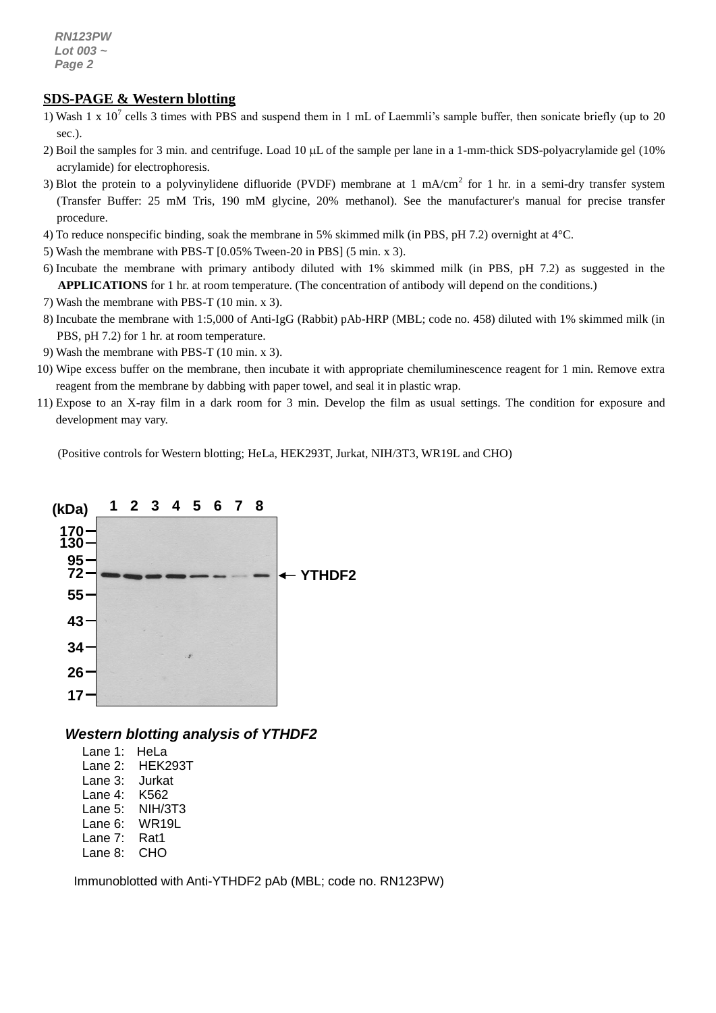#### *g* **SDS-PAGE & Western blotting**

- 1) Wash 1 x 10<sup>7</sup> cells 3 times with PBS and suspend them in 1 mL of Laemmli's sample buffer, then sonicate briefly (up to 20 sec.).
- 2) Boil the samples for 3 min. and centrifuge. Load 10  $\mu$ L of the sample per lane in a 1-mm-thick SDS-polyacrylamide gel (10%) acrylamide) for electrophoresis.
- 3) Blot the protein to a polyvinylidene difluoride (PVDF) membrane at 1 mA/cm<sup>2</sup> for 1 hr. in a semi-dry transfer system (Transfer Buffer: 25 mM Tris, 190 mM glycine, 20% methanol). See the manufacturer's manual for precise transfer procedure.
- 4) To reduce nonspecific binding, soak the membrane in 5% skimmed milk (in PBS, pH 7.2) overnight at 4°C.
- 5) Wash the membrane with PBS-T [0.05% Tween-20 in PBS] (5 min. x 3).
- 6) Incubate the membrane with primary antibody diluted with 1% skimmed milk (in PBS, pH 7.2) as suggested in the **APPLICATIONS** for 1 hr. at room temperature. (The concentration of antibody will depend on the conditions.)
- 7) Wash the membrane with PBS-T (10 min. x 3).
- 8) Incubate the membrane with 1:5,000 of [Anti-IgG \(Rabbit\) pAb-HRP](http://ruo.mbl.co.jp/g/dtl/A/330/) (MBL; code no. 458) diluted with 1% skimmed milk (in PBS, pH 7.2) for 1 hr. at room temperature.
- 9) Wash the membrane with PBS-T (10 min. x 3).
- 10) Wipe excess buffer on the membrane, then incubate it with appropriate chemiluminescence reagent for 1 min. Remove extra reagent from the membrane by dabbing with paper towel, and seal it in plastic wrap.
- 11) Expose to an X-ray film in a dark room for 3 min. Develop the film as usual settings. The condition for exposure and development may vary.

(Positive controls for Western blotting; HeLa, HEK293T, Jurkat, NIH/3T3, WR19L and CHO)



*Western blotting analysis of YTHDF2*

| Lane 1: | HeLa    |
|---------|---------|
| Lane 2: | HEK293T |
| Lane 3: | Jurkat  |
| Lane 4: | K562    |
| Lane 5: | NIH/3T3 |
| Lane 6: | WR19L   |
| Lane 7: | Rat1    |
| Lane 8: | СНО     |

Immunoblotted with Anti-YTHDF2 pAb (MBL; code no. RN123PW)